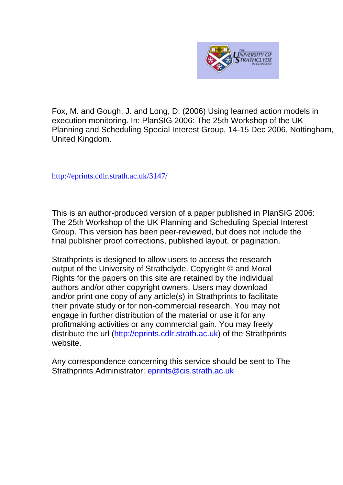

Fox, M. and Gough, J. and Long, D. (2006) Using learned action models in execution monitoring. In: PlanSIG 2006: The 25th Workshop of the UK Planning and Scheduling Special Interest Group, 14-15 Dec 2006, Nottingham, United Kingdom.

[http://eprints.cdlr.strath.ac.uk/](http://eprints.cdlr.strath.ac.uk/2815/)3147/

This is an author-produced version of a paper published in PlanSIG 2006: The 25th Workshop of the UK Planning and Scheduling Special Interest Group. This version has been peer-reviewed, but does not include the final publisher proof corrections, published layout, or pagination.

Strathprints is designed to allow users to access the research output of the University of Strathclyde. Copyright © and Moral Rights for the papers on this site are retained by the individual authors and/or other copyright owners. Users may download and/or print one copy of any article(s) in Strathprints to facilitate their private study or for non-commercial research. You may not engage in further distribution of the material or use it for any profitmaking activities or any commercial gain. You may freely distribute the url (http://eprints.cdlr.strath.ac.uk) of the Strathprints website.

Any correspondence concerning this service should be sent to The Strathprints Administrator: eprints@cis.strath.ac.uk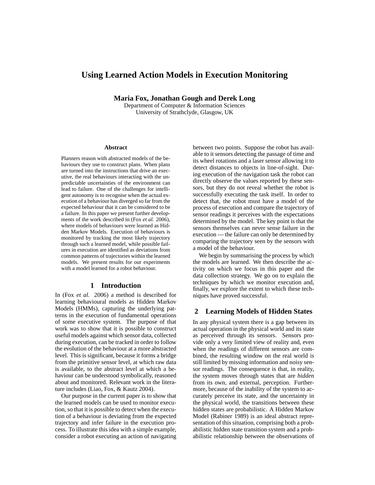# **Using Learned Action Models in Execution Monitoring**

**Maria Fox, Jonathan Gough and Derek Long**

Department of Computer & Information Sciences University of Strathclyde, Glasgow, UK

#### **Abstract**

Planners reason with abstracted models of the behaviours they use to construct plans. When plans are turned into the instructions that drive an executive, the real behaviours interacting with the unpredictable uncertainties of the environment can lead to failure. One of the challenges for intelligent autonomy is to recognise when the actual execution of a behaviour has diverged so far from the expected behaviour that it can be considered to be a failure. In this paper we present further developments of the work described in (Fox *et al.* 2006), where models of behaviours were learned as Hidden Markov Models. Execution of behaviours is monitored by tracking the most likely trajectory through such a learned model, while possible failures in execution are identified as deviations from common patterns of trajectories within the learned models. We present results for our experiments with a model learned for a robot behaviour.

### **1 Introduction**

In (Fox *et al.* 2006) a method is described for learning behavioural models as Hidden Markov Models (HMMs), capturing the underlying patterns in the execution of fundamental operations of some executive system. The purpose of that work was to show that it is possible to construct useful models against which sensor data, collected during execution, can be tracked in order to follow the evolution of the behaviour at a more abstracted level. This is significant, because it forms a bridge from the primitive sensor level, at which raw data is available, to the abstract level at which a behaviour can be understood symbolically, reasoned about and monitored. Relevant work in the literature includes (Liao, Fox, & Kautz 2004).

Our purpose in the current paper is to show that the learned models can be used to monitor execution, so that it is possible to detect when the execution of a behaviour is deviating from the expected trajectory and infer failure in the execution process. To illustrate this idea with a simple example, consider a robot executing an action of navigating between two points. Suppose the robot has available to it sensors detecting the passage of time and its wheel rotations and a laser sensor allowing it to detect distances to objects in line-of-sight. During execution of the navigation task the robot can directly observe the values reported by these sensors, but they do not reveal whether the robot is successfully executing the task itself. In order to detect that, the robot must have a model of the process of execution and compare the trajectory of sensor readings it perceives with the expectations determined by the model. The key point is that the sensors themselves can never sense failure in the execution — the failure can only be determined by comparing the trajectory seen by the sensors with a model of the behaviour.

We begin by summarising the process by which the models are learned. We then describe the activity on which we focus in this paper and the data collection strategy. We go on to explain the techniques by which we monitor execution and, finally, we explore the extent to which these techniques have proved successful.

## **2 Learning Models of Hidden States**

In any physical system there is a gap between its actual operation in the physical world and its state as perceived through its sensors. Sensors provide only a very limited view of reality and, even when the readings of different sensors are combined, the resulting window on the real world is still limited by missing information and noisy sensor readings. The consequence is that, in reality, the system moves through states that are *hidden* from its own, and external, perception. Furthermore, because of the inability of the system to accurately perceive its state, and the uncertainty in the physical world, the transitions between these hidden states are probabilistic. A Hidden Markov Model (Rabiner 1989) is an ideal abstract representation of this situation, comprising both a probabilistic hidden state transition system and a probabilistic relationship between the observations of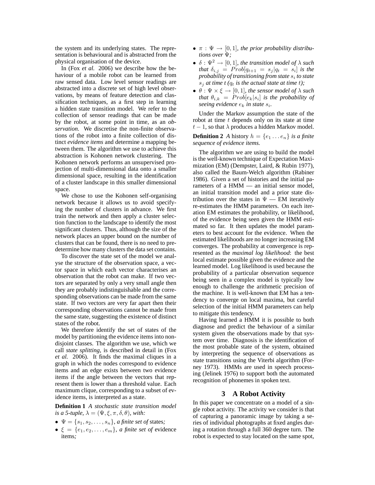the system and its underlying states. The representation is behavioural and is abstracted from the physical organisation of the device.

In (Fox *et al.* 2006) we describe how the behaviour of a mobile robot can be learned from raw sensed data. Low level sensor readings are abstracted into a discrete set of high level observations, by means of feature detection and classification techniques, as a first step in learning a hidden state transition model. We refer to the collection of sensor readings that can be made by the robot, at some point in time, as an *observation*. We discretise the non-finite observations of the robot into a finite collection of distinct *evidence items* and determine a mapping between them. The algorithm we use to achieve this abstraction is Kohonen network clustering. The Kohonen network performs an unsupervised projection of multi-dimensional data onto a smaller dimensional space, resulting in the identification of a cluster landscape in this smaller dimensional space.

We chose to use the Kohonen self-organising network because it allows us to avoid specifying the number of clusters in advance. We first train the network and then apply a cluster selection function to the landscape to identify the most significant clusters. Thus, although the size of the network places an upper bound on the number of clusters that can be found, there is no need to predetermine how many clusters the data set contains.

To discover the state set of the model we analyse the structure of the observation space, a vector space in which each vector characterises an observation that the robot can make. If two vectors are separated by only a very small angle then they are probably indistinguishable and the corresponding observations can be made from the same state. If two vectors are very far apart then their corresponding observations cannot be made from the same state, suggesting the existence of distinct states of the robot.

We therefore identify the set of states of the model by partitioning the evidence items into nondisjoint classes. The algorithm we use, which we call *state splitting*, is described in detail in (Fox *et al.* 2006). It finds the maximal cliques in a graph in which the nodes correspond to evidence items and an edge exists between two evidence items if the angle between the vectors that represent them is lower than a threshold value. Each maximum clique, corresponding to a subset of evidence items, is interpreted as a state.

**Definition 1** *A stochastic state transition model is a 5-tuple,*  $\lambda = (\Psi, \xi, \pi, \delta, \theta)$ *, with:* 

- $\Psi = \{s_1, s_2, \ldots, s_n\}$ *, a finite set of states;*
- $\xi = \{e_1, e_2, \ldots, e_m\}$ , *a finite set of* evidence items*;*
- $\bullet \pi : \Psi \to [0, 1]$ , the prior probability distribu*tions over* Ψ*;*
- $\bullet$   $\delta$  :  $\Psi^2 \rightarrow [0,1]$ *, the transition model of*  $\lambda$  *such that*  $\delta_{i,j}$  =  $Prob[q_{t+1} = s_j | q_t = s_i]$  *is the probability of transitioning from state* s<sup>i</sup> *to state*  $s_i$  *at time t (* $q_t$  *is the actual state at time t);*
- $\bullet$   $\theta$  :  $\Psi \times \xi \rightarrow [0, 1]$ *, the sensor model of*  $\lambda$  *such that*  $\theta_{i,k}$  =  $Prob[e_k|s_i]$  *is the probability of seeing evidence* e<sup>k</sup> *in state* s<sup>i</sup> *.*

Under the Markov assumption the state of the robot at time  $t$  depends only on its state at time  $t - 1$ , so that  $\lambda$  produces a hidden Markov model.

**Definition 2** *A* history  $h = \{e_1 \dots e_n\}$  *is a finite sequence of evidence items.*

The algorithm we are using to build the model is the well-known technique of Expectation Maximization (EM) (Dempster, Laird, & Rubin 1977), also called the Baum-Welch algorithm (Rabiner 1986). Given a set of histories and the initial parameters of a HMM — an initial sensor model, an initial transition model and a prior state distribution over the states in  $\Psi$  — EM iteratively re-estimates the HMM parameters. On each iteration EM estimates the probability, or likelihood, of the evidence being seen given the HMM estimated so far. It then updates the model parameters to best account for the evidence. When the estimated likelihoods are no longer increasing EM converges. The probability at convergence is represented as the *maximal log likelihood*: the best local estimate possible given the evidence and the learned model. Log likelihood is used because the probability of a particular observation sequence being seen in a complex model is typically low enough to challenge the arithmetic precision of the machine. It is well-known that EM has a tendency to converge on local maxima, but careful selection of the initial HMM parameters can help to mitigate this tendency.

Having learned a HMM it is possible to both diagnose and predict the behaviour of a similar system given the observations made by that system over time. Diagnosis is the identification of the most probable state of the system, obtained by interpreting the sequence of observations as state transitions using the Viterbi algorithm (Forney 1973). HMMs are used in speech processing (Jelinek 1976) to support both the automated recognition of phonemes in spoken text.

## **3 A Robot Activity**

In this paper we concentrate on a model of a single robot activity. The activity we consider is that of capturing a panoramic image by taking a series of individual photographs at fixed angles during a rotation through a full 360 degree turn. The robot is expected to stay located on the same spot,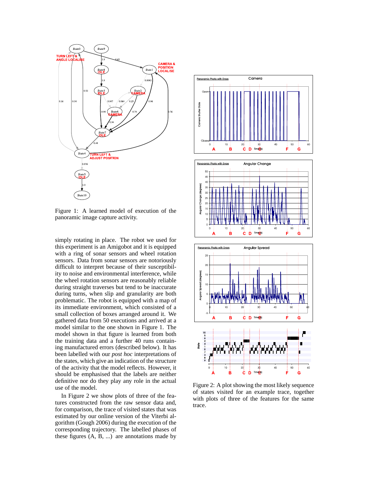

Figure 1: A learned model of execution of the panoramic image capture activity.

simply rotating in place. The robot we used for this experiment is an Amigobot and it is equipped with a ring of sonar sensors and wheel rotation sensors. Data from sonar sensors are notoriously difficult to interpret because of their susceptibility to noise and environmental interference, while the wheel rotation sensors are reasonably reliable during straight traverses but tend to be inaccurate during turns, when slip and granularity are both problematic. The robot is equipped with a map of its immediate environment, which consisted of a small collection of boxes arranged around it. We gathered data from 50 executions and arrived at a model similar to the one shown in Figure 1. The model shown in that figure is learned from both the training data and a further 40 runs containing manufactured errors (described below). It has been labelled with our *post hoc* interpretations of the states, which give an indication of the structure of the activity that the model reflects. However, it should be emphasised that the labels are neither definitive nor do they play any role in the actual use of the model.

In Figure 2 we show plots of three of the features constructed from the raw sensor data and, for comparison, the trace of visited states that was estimated by our online version of the Viterbi algorithm (Gough 2006) during the execution of the corresponding trajectory. The labelled phases of these figures (A, B, ...) are annotations made by



Figure 2: A plot showing the most likely sequence of states visited for an example trace, together with plots of three of the features for the same trace.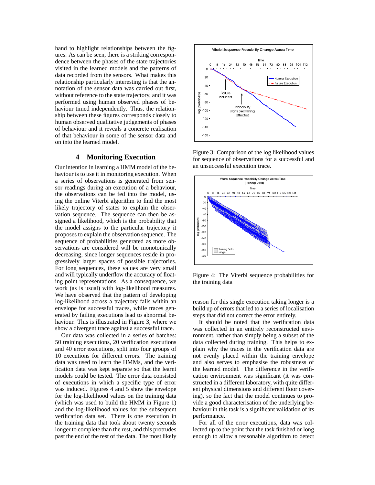hand to highlight relationships between the figures. As can be seen, there is a striking correspondence between the phases of the state trajectories visited in the learned models and the patterns of data recorded from the sensors. What makes this relationship particularly interesting is that the annotation of the sensor data was carried out first, without reference to the state trajectory, and it was performed using human observed phases of behaviour timed independently. Thus, the relationship between these figures corresponds closely to human observed qualitative judgements of phases of behaviour and it reveals a concrete realisation of that behaviour in some of the sensor data and on into the learned model.

## **4 Monitoring Execution**

Our intention in learning a HMM model of the behaviour is to use it in monitoring execution. When a series of observations is generated from sensor readings during an execution of a behaviour, the observations can be fed into the model, using the online Viterbi algorithm to find the most likely trajectory of states to explain the observation sequence. The sequence can then be assigned a likelihood, which is the probability that the model assigns to the particular trajectory it proposes to explain the observation sequence. The sequence of probabilities generated as more observations are considered will be monotonically decreasing, since longer sequences reside in progressively larger spaces of possible trajectories. For long sequences, these values are very small and will typically underflow the accuracy of floating point representations. As a consequence, we work (as is usual) with log-likelihood measures. We have observed that the pattern of developing log-likelihood across a trajectory falls within an envelope for successful traces, while traces generated by failing executions lead to abnormal behaviour. This is illustrated in Figure 3, where we show a divergent trace against a successful trace.

Our data was collected in a series of batches: 50 training executions, 20 verification executions and 40 error executions, split into four groups of 10 executions for different errors. The training data was used to learn the HMMs, and the verification data was kept separate so that the learnt models could be tested. The error data consisted of executions in which a specific type of error was induced. Figures 4 and 5 show the envelope for the log-likelihood values on the training data (which was used to build the HMM in Figure 1) and the log-likelihood values for the subsequent verification data set. There is one execution in the training data that took about twenty seconds longer to complete than the rest, and this protrudes past the end of the rest of the data. The most likely



Figure 3: Comparison of the log likelihood values for sequence of observations for a successful and an unsuccessful execution trace.



Figure 4: The Viterbi sequence probabilities for the training data

reason for this single execution taking longer is a build up of errors that led to a series of localisation steps that did not correct the error entirely.

It should be noted that the verification data was collected in an entirely reconstructed environment, rather than simply being a subset of the data collected during training. This helps to explain why the traces in the verification data are not evenly placed within the training envelope and also serves to emphasise the robustness of the learned model. The difference in the verification environment was significant (it was constructed in a different laboratory, with quite different physical dimensions and different floor covering), so the fact that the model continues to provide a good characterisation of the underlying behaviour in this task is a significant validation of its performance.

For all of the error executions, data was collected up to the point that the task finished or long enough to allow a reasonable algorithm to detect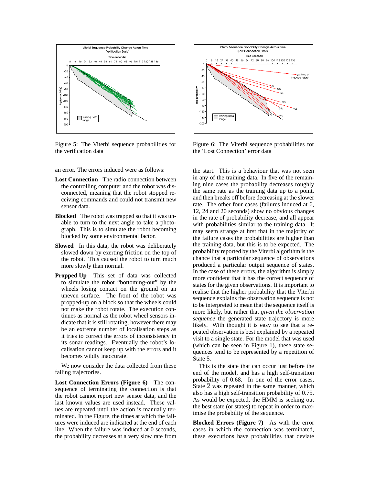

Figure 5: The Viterbi sequence probabilities for the verification data

an error. The errors induced were as follows:

- **Lost Connection** The radio connection between the controlling computer and the robot was disconnected, meaning that the robot stopped receiving commands and could not transmit new sensor data.
- **Blocked** The robot was trapped so that it was unable to turn to the next angle to take a photograph. This is to simulate the robot becoming blocked by some environmental factor.
- **Slowed** In this data, the robot was deliberately slowed down by exerting friction on the top of the robot. This caused the robot to turn much more slowly than normal.
- **Propped Up** This set of data was collected to simulate the robot "bottoming-out" by the wheels losing contact on the ground on an uneven surface. The front of the robot was propped-up on a block so that the wheels could not make the robot rotate. The execution continues as normal as the robot wheel sensors indicate that it is still rotating, however there may be an extreme number of localisation steps as it tries to correct the errors of inconsistency in its sonar readings. Eventually the robot's localisation cannot keep up with the errors and it becomes wildly inaccurate.

We now consider the data collected from these failing trajectories.

**Lost Connection Errors (Figure 6)** The consequence of terminating the connection is that the robot cannot report new sensor data, and the last known values are used instead. These values are repeated until the action is manually terminated. In the Figure, the times at which the failures were induced are indicated at the end of each line. When the failure was induced at 0 seconds, the probability decreases at a very slow rate from



Figure 6: The Viterbi sequence probabilities for the 'Lost Connection' error data

the start. This is a behaviour that was not seen in any of the training data. In five of the remaining nine cases the probability decreases roughly the same rate as the training data up to a point, and then breaks off before decreasing at the slower rate. The other four cases (failures induced at 6, 12, 24 and 20 seconds) show no obvious changes in the rate of probability decrease, and all appear with probabilities similar to the training data. It may seem strange at first that in the majority of the failure cases the probabilities are higher than the training data, but this is to be expected. The probability reported by the Viterbi algorithm is the chance that a particular sequence of observations produced a particular output sequence of states. In the case of these errors, the algorithm is simply more confident that it has the correct sequence of states for the given observations. It is important to realise that the higher probability that the Viterbi sequence explains the observation sequence is not to be interpreted to mean that the sequence itself is more likely, but rather that *given the observation sequence* the generated state trajectory is more likely. With thought it is easy to see that a repeated observation is best explained by a repeated visit to a single state. For the model that was used (which can be seen in Figure 1), these state sequences tend to be represented by a repetition of State 5.

This is the state that can occur just before the end of the model, and has a high self-transition probability of 0.68. In one of the error cases, State 2 was repeated in the same manner, which also has a high self-transition probability of 0.75. As would be expected, the HMM is seeking out the best state (or states) to repeat in order to maximise the probability of the sequence.

**Blocked Errors (Figure 7)** As with the error cases in which the connection was terminated, these executions have probabilities that deviate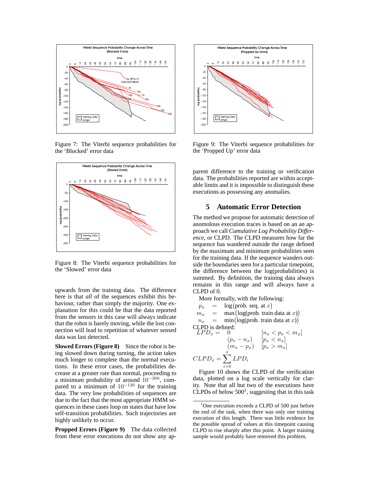

Figure 7: The Viterbi sequence probabilities for the 'Blocked' error data



Figure 8: The Viterbi sequence probabilities for the 'Slowed' error data

upwards from the training data. The difference here is that *all* of the sequences exhibit this behaviour, rather than simply the majority. One explanation for this could be that the data reported from the sensors in this case will always indicate that the robot is barely moving, while the lost connection will lead to repetition of whatever sensed data was last detected.

**Slowed Errors (Figure 8)** Since the robot is being slowed down during turning, the action takes much longer to complete than the normal executions. In these error cases, the probabilities decrease at a greater rate than normal, proceeding to a minimum probability of around  $10^{-300}$ , compared to a minimum of  $10^{-120}$  for the training data. The very low probabilities of sequences are due to the fact that the most appropriate HMM sequences in these cases loop on states that have low self-transition probabilities. Such trajectories are highly unlikely to occur.

**Propped Errors (Figure 9)** The data collected from these error executions do not show any ap-



Figure 9: The Viterbi sequence probabilities for the 'Propped Up' error data

parent difference to the training or verification data. The probabilities reported are within acceptable limits and it is impossible to distinguish these executions as possessing any anomalies.

## **5 Automatic Error Detection**

The method we propose for automatic detection of anomolous execution traces is based on an an approach we call *Cumulative Log Probability Difference*, or CLPD. The CLPD measures how far the sequence has wandered outside the range defined by the maximum and minimum probabilities seen for the training data. If the sequence wanders outside the boundaries seen for a particular timepoint, the difference between the log(probabilities) is summed. By definition, the training data always remains in this range and will always have a CLPD of 0.

More formally, with the following:

$$
p_x = \log(\text{prob. seq. at } x)
$$
  
\n
$$
m_x = \max(\text{log(prob. train data at } x)
$$

$$
m_x = \max(\text{log(prob. train data at } x))
$$
  

$$
n_x = \min(\text{log(prob. train data at } x))
$$

CLPD is defined:

$$
LPD_x = 0 \qquad [n_x < p_x < m_x] \n(p_x - n_x) \qquad [p_x < n_x] \n(m_x - p_x) \qquad [p_x > m_x] \nCLPD_x = \sum_{i=0}^x LPD_i
$$

Figure 10 shows the CLPD of the verification data, plotted on a log scale vertically for clarity. Note that all but two of the executions have CLPDs of below  $500<sup>1</sup>$ , suggesting that in this task

<sup>&</sup>lt;sup>1</sup>One execution exceeds a CLPD of 500 just before the end of the task, when there was only one training execution of this length. There was little evidence for the possible spread of values at this timepoint causing CLPD to rise sharply after this point. A larger training sample would probably have removed this problem.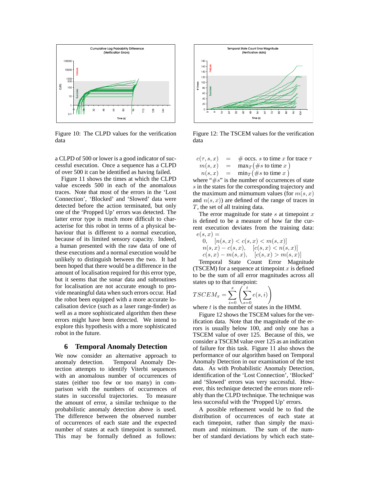

Figure 10: The CLPD values for the verification data

a CLPD of 500 or lower is a good indicator of successful execution. Once a sequence has a CLPD of over 500 it can be identified as having failed.

Figure 11 shows the times at which the CLPD value exceeds 500 in each of the anomalous traces. Note that most of the errors in the 'Lost Connection', 'Blocked' and 'Slowed' data were detected before the action terminated, but only one of the 'Propped Up' errors was detected. The latter error type is much more difficult to characterise for this robot in terms of a physical behaviour that is different to a normal execution, because of its limited sensory capacity. Indeed, a human presented with the raw data of one of these executions and a normal execution would be unlikely to distinguish between the two. It had been hoped that there would be a difference in the amount of localisation required for this error type, but it seems that the sonar data and subroutines for localisation are not accurate enough to provide meaningful data when such errors occur. Had the robot been equipped with a more accurate localisation device (such as a laser range-finder) as well as a more sophisticated algorithm then these errors might have been detected. We intend to explore this hypothesis with a more sophisticated robot in the future.

### **6 Temporal Anomaly Detection**

We now consider an alternative approach to anomaly detection. Temporal Anomaly Detection attempts to identify Viterbi sequences with an anomalous number of occurrences of states (either too few or too many) in comparison with the numbers of occurrences of states in successful trajectories. To measure the amount of error, a similar technique to the probabilistic anomaly detection above is used. The difference between the observed number of occurrences of each state and the expected number of states at each timepoint is summed. This may be formally defined as follows:



Figure 12: The TSCEM values for the verification data

| $c(\tau,s,x)$<br>$\mathbf{r} = \mathbf{r}$ |     | # occs. s to time x for trace $\tau$ |
|--------------------------------------------|-----|--------------------------------------|
| m(s,x)                                     | $=$ | $\max_T (\# s \text{ to time } x)$   |
| $n(s,x) =$                                 |     | $\min_T (\# s \text{ to time } x)$   |

where " $\#s$ " is the number of occurrences of state s in the states for the corresponding trajectory and the maximum and mimumum values (for  $m(s, x)$ ) and  $n(s, x)$  are defined of the range of traces in T, the set of all training data.

The error magnitude for state  $s$  at timepoint  $x$ is defined to be a measure of how far the current execution deviates from the training data:  $e(s, x) =$ 

$$
0, \quad [n(s, x) < c(s, x) < m(s, x)]
$$
\n
$$
n(s, x) - c(s, x), \quad [c(s, x) < n(s, x)]
$$
\n
$$
c(s, x) - m(s, x), \quad [c(s, x) > m(s, x)]
$$

Temporal State Count Error Magnitude (TSCEM) for a sequence at timepoint  $x$  is defined to be the sum of all error magnitudes across all states up to that timepoint:

$$
TSCEM_x = \sum_{i=0}^{x} \left( \sum_{s=0}^{t} e(s, i) \right)
$$

where  $t$  is the number of states in the HMM.

Figure 12 shows the TSCEM values for the verification data. Note that the magnitude of the errors is usually below 100, and only one has a TSCEM value of over 125. Because of this, we consider a TSCEM value over 125 as an indication of failure for this task. Figure 11 also shows the performance of our algorithm based on Temporal Anomaly Detection in our examination of the test data. As with Probabilistic Anomaly Detection, identification of the 'Lost Connection', 'Blocked' and 'Slowed' errors was very successful. However, this technique detected the errors more reliably than the CLPD technique. The technique was less successful with the 'Propped Up' errors.

A possible refinement would be to find the distribution of occurrences of each state at each timepoint, rather than simply the maximum and minimum. The sum of the number of standard deviations by which each state-